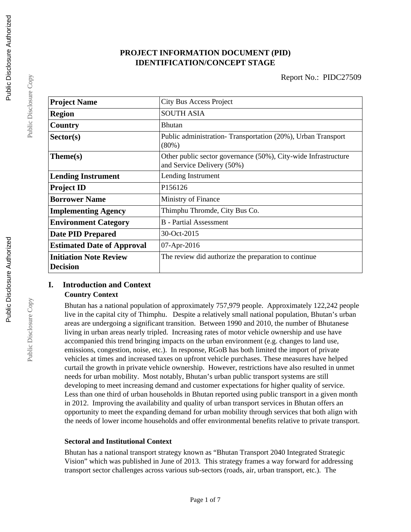# **PROJECT INFORMATION DOCUMENT (PID) IDENTIFICATION/CONCEPT STAGE**

| <b>Project Name</b>                              | <b>City Bus Access Project</b>                                                               |
|--------------------------------------------------|----------------------------------------------------------------------------------------------|
| <b>Region</b>                                    | <b>SOUTH ASIA</b>                                                                            |
| Country                                          | <b>Bhutan</b>                                                                                |
| Sector(s)                                        | Public administration-Transportation (20%), Urban Transport<br>$(80\%)$                      |
| Theme(s)                                         | Other public sector governance (50%), City-wide Infrastructure<br>and Service Delivery (50%) |
| <b>Lending Instrument</b>                        | Lending Instrument                                                                           |
| <b>Project ID</b>                                | P <sub>156126</sub>                                                                          |
| <b>Borrower Name</b>                             | Ministry of Finance                                                                          |
| <b>Implementing Agency</b>                       | Thimphu Thromde, City Bus Co.                                                                |
| <b>Environment Category</b>                      | <b>B</b> - Partial Assessment                                                                |
| <b>Date PID Prepared</b>                         | 30-Oct-2015                                                                                  |
| <b>Estimated Date of Approval</b>                | 07-Apr-2016                                                                                  |
| <b>Initiation Note Review</b><br><b>Decision</b> | The review did authorize the preparation to continue                                         |

## **I. Introduction and Context Country Context**

Bhutan has a national population of approximately 757,979 people. Approximately 122,242 people live in the capital city of Thimphu. Despite a relatively small national population, Bhutan's urban areas are undergoing a significant transition. Between 1990 and 2010, the number of Bhutanese living in urban areas nearly tripled. Increasing rates of motor vehicle ownership and use have accompanied this trend bringing impacts on the urban environment (e.g. changes to land use, emissions, congestion, noise, etc.). In response, RGoB has both limited the import of private vehicles at times and increased taxes on upfront vehicle purchases. These measures have helped curtail the growth in private vehicle ownership. However, restrictions have also resulted in unmet needs for urban mobility. Most notably, Bhutan's urban public transport systems are still developing to meet increasing demand and customer expectations for higher quality of service. Less than one third of urban households in Bhutan reported using public transport in a given month in 2012. Improving the availability and quality of urban transport services in Bhutan offers an opportunity to meet the expanding demand for urban mobility through services that both align with the needs of lower income households and offer environmental benefits relative to private transport.

## **Sectoral and Institutional Context**

Bhutan has a national transport strategy known as "Bhutan Transport 2040 Integrated Strategic Vision" which was published in June of 2013. This strategy frames a way forward for addressing transport sector challenges across various sub-sectors (roads, air, urban transport, etc.). The

Public Disclosure Copy

Public Disclosure Copy

Public Disclosure Copy

Public Disclosure Copy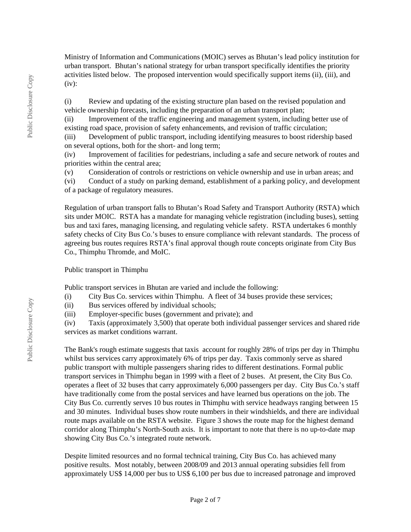Ministry of Information and Communications (MOIC) serves as Bhutan's lead policy institution for urban transport. Bhutan's national strategy for urban transport specifically identifies the priority activities listed below. The proposed intervention would specifically support items (ii), (iii), and  $(iv):$ 

(i) Review and updating of the existing structure plan based on the revised population and vehicle ownership forecasts, including the preparation of an urban transport plan;

(ii) Improvement of the traffic engineering and management system, including better use of existing road space, provision of safety enhancements, and revision of traffic circulation;

(iii) Development of public transport, including identifying measures to boost ridership based on several options, both for the short- and long term;

(iv) Improvement of facilities for pedestrians, including a safe and secure network of routes and priorities within the central area;

(v) Consideration of controls or restrictions on vehicle ownership and use in urban areas; and

(vi) Conduct of a study on parking demand, establishment of a parking policy, and development of a package of regulatory measures.

Regulation of urban transport falls to Bhutan's Road Safety and Transport Authority (RSTA) which sits under MOIC. RSTA has a mandate for managing vehicle registration (including buses), setting bus and taxi fares, managing licensing, and regulating vehicle safety. RSTA undertakes 6 monthly safety checks of City Bus Co.'s buses to ensure compliance with relevant standards. The process of agreeing bus routes requires RSTA's final approval though route concepts originate from City Bus Co., Thimphu Thromde, and MoIC.

## Public transport in Thimphu

Public transport services in Bhutan are varied and include the following:

(i) City Bus Co. services within Thimphu. A fleet of 34 buses provide these services;

(ii) Bus services offered by individual schools;

(iii) Employer-specific buses (government and private); and

(iv) Taxis (approximately 3,500) that operate both individual passenger services and shared ride services as market conditions warrant.

The Bank's rough estimate suggests that taxis account for roughly 28% of trips per day in Thimphu whilst bus services carry approximately 6% of trips per day. Taxis commonly serve as shared public transport with multiple passengers sharing rides to different destinations. Formal public transport services in Thimphu began in 1999 with a fleet of 2 buses. At present, the City Bus Co. operates a fleet of 32 buses that carry approximately 6,000 passengers per day. City Bus Co.'s staff have traditionally come from the postal services and have learned bus operations on the job. The City Bus Co. currently serves 10 bus routes in Thimphu with service headways ranging between 15 and 30 minutes. Individual buses show route numbers in their windshields, and there are individual route maps available on the RSTA website. Figure 3 shows the route map for the highest demand corridor along Thimphu's North-South axis. It is important to note that there is no up-to-date map showing City Bus Co.'s integrated route network.

Despite limited resources and no formal technical training, City Bus Co. has achieved many positive results. Most notably, between 2008/09 and 2013 annual operating subsidies fell from approximately US\$ 14,000 per bus to US\$ 6,100 per bus due to increased patronage and improved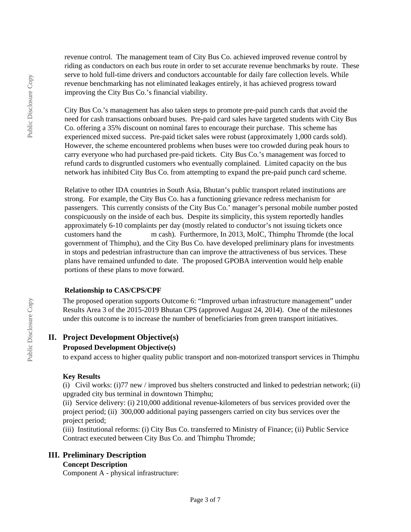revenue control. The management team of City Bus Co. achieved improved revenue control by riding as conductors on each bus route in order to set accurate revenue benchmarks by route. These serve to hold full-time drivers and conductors accountable for daily fare collection levels. While revenue benchmarking has not eliminated leakages entirely, it has achieved progress toward improving the City Bus Co.'s financial viability.

City Bus Co.'s management has also taken steps to promote pre-paid punch cards that avoid the need for cash transactions onboard buses. Pre-paid card sales have targeted students with City Bus Co. offering a 35% discount on nominal fares to encourage their purchase. This scheme has experienced mixed success. Pre-paid ticket sales were robust (approximately 1,000 cards sold). However, the scheme encountered problems when buses were too crowded during peak hours to carry everyone who had purchased pre-paid tickets. City Bus Co.'s management was forced to refund cards to disgruntled customers who eventually complained. Limited capacity on the bus network has inhibited City Bus Co. from attempting to expand the pre-paid punch card scheme.

Relative to other IDA countries in South Asia, Bhutan's public transport related institutions are strong. For example, the City Bus Co. has a functioning grievance redress mechanism for passengers. This currently consists of the City Bus Co.' manager's personal mobile number posted conspicuously on the inside of each bus. Despite its simplicity, this system reportedly handles approximately 6-10 complaints per day (mostly related to conductor's not issuing tickets once customers hand the m cash). Furthermore, In 2013, MoIC, Thimphu Thromde (the local government of Thimphu), and the City Bus Co. have developed preliminary plans for investments in stops and pedestrian infrastructure than can improve the attractiveness of bus services. These plans have remained unfunded to date. The proposed GPOBA intervention would help enable portions of these plans to move forward.

#### **Relationship to CAS/CPS/CPF**

The proposed operation supports Outcome 6: "Improved urban infrastructure management" under Results Area 3 of the 2015-2019 Bhutan CPS (approved August 24, 2014). One of the milestones under this outcome is to increase the number of beneficiaries from green transport initiatives.

## **II. Project Development Objective(s)**

#### **Proposed Development Objective(s)**

to expand access to higher quality public transport and non-motorized transport services in Thimphu

#### **Key Results**

(i) Civil works: (i)77 new / improved bus shelters constructed and linked to pedestrian network; (ii) upgraded city bus terminal in downtown Thimphu;

(ii) Service delivery: (i) 210,000 additional revenue-kilometers of bus services provided over the project period; (ii) 300,000 additional paying passengers carried on city bus services over the project period;

(iii) Institutional reforms: (i) City Bus Co. transferred to Ministry of Finance; (ii) Public Service Contract executed between City Bus Co. and Thimphu Thromde;

#### **III. Preliminary Description**

#### **Concept Description**

Component A - physical infrastructure: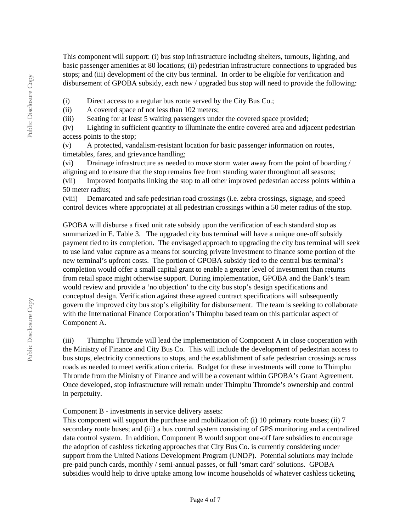This component will support: (i) bus stop infrastructure including shelters, turnouts, lighting, and basic passenger amenities at 80 locations; (ii) pedestrian infrastructure connections to upgraded bus stops; and (iii) development of the city bus terminal. In order to be eligible for verification and disbursement of GPOBA subsidy, each new / upgraded bus stop will need to provide the following:

(i) Direct access to a regular bus route served by the City Bus Co.;

(ii) A covered space of not less than 102 meters;

(iii) Seating for at least 5 waiting passengers under the covered space provided;

(iv) Lighting in sufficient quantity to illuminate the entire covered area and adjacent pedestrian access points to the stop;

(v) A protected, vandalism-resistant location for basic passenger information on routes, timetables, fares, and grievance handling;

(vi) Drainage infrastructure as needed to move storm water away from the point of boarding / aligning and to ensure that the stop remains free from standing water throughout all seasons; (vii) Improved footpaths linking the stop to all other improved pedestrian access points within a 50 meter radius;

(viii) Demarcated and safe pedestrian road crossings (i.e. zebra crossings, signage, and speed control devices where appropriate) at all pedestrian crossings within a 50 meter radius of the stop.

GPOBA will disburse a fixed unit rate subsidy upon the verification of each standard stop as summarized in E. Table 3. The upgraded city bus terminal will have a unique one-off subsidy payment tied to its completion. The envisaged approach to upgrading the city bus terminal will seek to use land value capture as a means for sourcing private investment to finance some portion of the new terminal's upfront costs. The portion of GPOBA subsidy tied to the central bus terminal's completion would offer a small capital grant to enable a greater level of investment than returns from retail space might otherwise support. During implementation, GPOBA and the Bank's team would review and provide a 'no objection' to the city bus stop's design specifications and conceptual design. Verification against these agreed contract specifications will subsequently govern the improved city bus stop's eligibility for disbursement. The team is seeking to collaborate with the International Finance Corporation's Thimphu based team on this particular aspect of Component A.

(iii) Thimphu Thromde will lead the implementation of Component A in close cooperation with the Ministry of Finance and City Bus Co. This will include the development of pedestrian access to bus stops, electricity connections to stops, and the establishment of safe pedestrian crossings across roads as needed to meet verification criteria. Budget for these investments will come to Thimphu Thromde from the Ministry of Finance and will be a covenant within GPOBA's Grant Agreement. Once developed, stop infrastructure will remain under Thimphu Thromde's ownership and control in perpetuity.

Component B - investments in service delivery assets:

This component will support the purchase and mobilization of: (i) 10 primary route buses; (ii) 7 secondary route buses; and (iii) a bus control system consisting of GPS monitoring and a centralized data control system. In addition, Component B would support one-off fare subsidies to encourage the adoption of cashless ticketing approaches that City Bus Co. is currently considering under support from the United Nations Development Program (UNDP). Potential solutions may include pre-paid punch cards, monthly / semi-annual passes, or full 'smart card' solutions. GPOBA subsidies would help to drive uptake among low income households of whatever cashless ticketing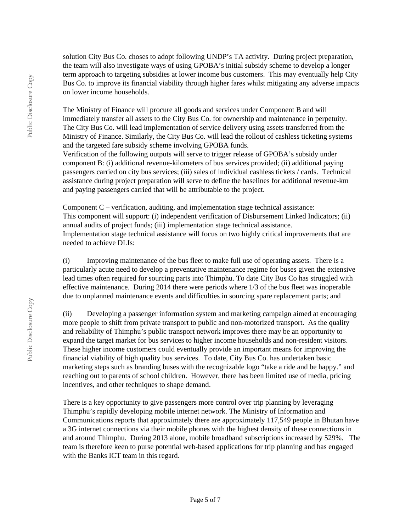solution City Bus Co. choses to adopt following UNDP's TA activity. During project preparation, the team will also investigate ways of using GPOBA's initial subsidy scheme to develop a longer term approach to targeting subsidies at lower income bus customers. This may eventually help City Bus Co. to improve its financial viability through higher fares whilst mitigating any adverse impacts on lower income households.

The Ministry of Finance will procure all goods and services under Component B and will immediately transfer all assets to the City Bus Co. for ownership and maintenance in perpetuity. The City Bus Co. will lead implementation of service delivery using assets transferred from the Ministry of Finance. Similarly, the City Bus Co. will lead the rollout of cashless ticketing systems and the targeted fare subsidy scheme involving GPOBA funds.

Verification of the following outputs will serve to trigger release of GPOBA's subsidy under component B: (i) additional revenue-kilometers of bus services provided; (ii) additional paying passengers carried on city bus services; (iii) sales of individual cashless tickets / cards. Technical assistance during project preparation will serve to define the baselines for additional revenue-km and paying passengers carried that will be attributable to the project.

Component C – verification, auditing, and implementation stage technical assistance: This component will support: (i) independent verification of Disbursement Linked Indicators; (ii) annual audits of project funds; (iii) implementation stage technical assistance. Implementation stage technical assistance will focus on two highly critical improvements that are needed to achieve DLIs:

(i) Improving maintenance of the bus fleet to make full use of operating assets. There is a particularly acute need to develop a preventative maintenance regime for buses given the extensive lead times often required for sourcing parts into Thimphu. To date City Bus Co has struggled with effective maintenance. During 2014 there were periods where 1/3 of the bus fleet was inoperable due to unplanned maintenance events and difficulties in sourcing spare replacement parts; and

(ii) Developing a passenger information system and marketing campaign aimed at encouraging more people to shift from private transport to public and non-motorized transport. As the quality and reliability of Thimphu's public transport network improves there may be an opportunity to expand the target market for bus services to higher income households and non-resident visitors. These higher income customers could eventually provide an important means for improving the financial viability of high quality bus services. To date, City Bus Co. has undertaken basic marketing steps such as branding buses with the recognizable logo "take a ride and be happy." and reaching out to parents of school children. However, there has been limited use of media, pricing incentives, and other techniques to shape demand.

There is a key opportunity to give passengers more control over trip planning by leveraging Thimphu's rapidly developing mobile internet network. The Ministry of Information and Communications reports that approximately there are approximately 117,549 people in Bhutan have a 3G internet connections via their mobile phones with the highest density of these connections in and around Thimphu. During 2013 alone, mobile broadband subscriptions increased by 529%. The team is therefore keen to purse potential web-based applications for trip planning and has engaged with the Banks ICT team in this regard.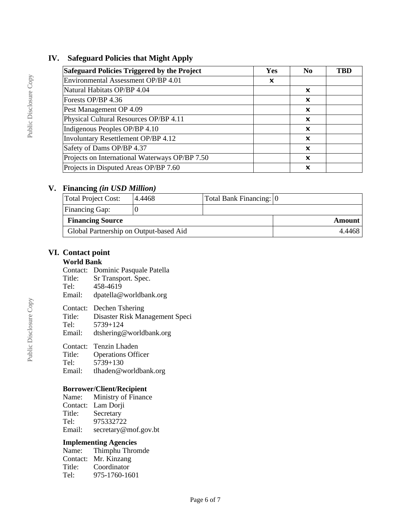## **IV. Safeguard Policies that Might Apply**

| Safeguard Policies Triggered by the Project    | Yes | N <sub>0</sub>            | TBD |
|------------------------------------------------|-----|---------------------------|-----|
| Environmental Assessment OP/BP 4.01            | x   |                           |     |
| Natural Habitats OP/BP 4.04                    |     | x                         |     |
| Forests OP/BP 4.36                             |     | $\boldsymbol{\mathsf{x}}$ |     |
| Pest Management OP 4.09                        |     | x                         |     |
| Physical Cultural Resources OP/BP 4.11         |     | x                         |     |
| Indigenous Peoples OP/BP 4.10                  |     | $\boldsymbol{\mathsf{x}}$ |     |
| Involuntary Resettlement OP/BP 4.12            |     | x                         |     |
| Safety of Dams OP/BP 4.37                      |     | x                         |     |
| Projects on International Waterways OP/BP 7.50 |     | X                         |     |
| Projects in Disputed Areas OP/BP 7.60          |     | ×                         |     |

## **V. Financing** *(in USD Million)*

| Total Project Cost:                    | 4.4468 | Total Bank Financing: 0 |        |
|----------------------------------------|--------|-------------------------|--------|
| Financing Gap:                         |        |                         |        |
| <b>Financing Source</b>                |        | Amount                  |        |
| Global Partnership on Output-based Aid |        |                         | 4.4468 |

## **VI. Contact point**

# **World Bank**

|  | Contact: Dominic Pasquale Patella |  |  |
|--|-----------------------------------|--|--|
|--|-----------------------------------|--|--|

- Title: Sr Transport. Spec.
- Tel: 458-4619
- Email: dpatella@worldbank.org
- 
- Contact: Dechen Tshering<br>Title: Disaster Risk Mar Disaster Risk Management Speci
- Tel: 5739+124
- Email: dtshering@worldbank.org

Contact: Tenzin Lhaden<br>Title: Operations Offi

- Title: Operations Officer<br>Tel: 5739+130 5739+130
- Email: tlhaden@worldbank.org

#### **Borrower/Client/Recipient**

Name: Ministry of Finance Contact: Lam Dorji Title: Secretary Tel:  $975332722$ <br>Email: secretary@ secretary@mof.gov.bt

#### **Implementing Agencies**

| Name:  | Thimphu Thromde      |
|--------|----------------------|
|        | Contact: Mr. Kinzang |
| Title: | Coordinator          |
| Tel:   | 975-1760-1601        |
|        |                      |